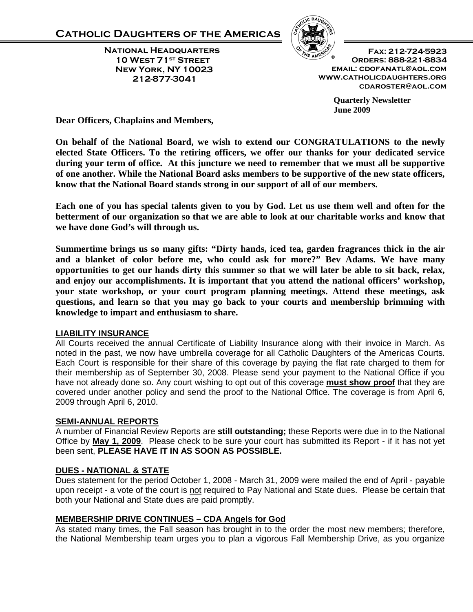**National Headquarters 10 West 71st Street New York, NY 10023 212-877-3041**



**Fax: 212-724-5923 Orders: 888-221-8834 email: cdofanatl@aol.com www.catholicdaughters.org cdaroster@aol.com**

> **Quarterly Newsletter June 2009**

**Dear Officers, Chaplains and Members,**

**On behalf of the National Board, we wish to extend our CONGRATULATIONS to the newly elected State Officers. To the retiring officers, we offer our thanks for your dedicated service during your term of office. At this juncture we need to remember that we must all be supportive of one another. While the National Board asks members to be supportive of the new state officers, know that the National Board stands strong in our support of all of our members.** 

**Each one of you has special talents given to you by God. Let us use them well and often for the betterment of our organization so that we are able to look at our charitable works and know that we have done God's will through us.** 

**Summertime brings us so many gifts: "Dirty hands, iced tea, garden fragrances thick in the air and a blanket of color before me, who could ask for more?" Bev Adams. We have many opportunities to get our hands dirty this summer so that we will later be able to sit back, relax, and enjoy our accomplishments. It is important that you attend the national officers' workshop, your state workshop, or your court program planning meetings. Attend these meetings, ask questions, and learn so that you may go back to your courts and membership brimming with knowledge to impart and enthusiasm to share.** 

#### **LIABILITY INSURANCE**

All Courts received the annual Certificate of Liability Insurance along with their invoice in March. As noted in the past, we now have umbrella coverage for all Catholic Daughters of the Americas Courts. Each Court is responsible for their share of this coverage by paying the flat rate charged to them for their membership as of September 30, 2008. Please send your payment to the National Office if you have not already done so. Any court wishing to opt out of this coverage **must show proof** that they are covered under another policy and send the proof to the National Office. The coverage is from April 6, 2009 through April 6, 2010.

#### **SEMI-ANNUAL REPORTS**

A number of Financial Review Reports are **still outstanding;** these Reports were due in to the National Office by **May 1, 2009**. Please check to be sure your court has submitted its Report - if it has not yet been sent, **PLEASE HAVE IT IN AS SOON AS POSSIBLE.**

#### **DUES - NATIONAL & STATE**

Dues statement for the period October 1, 2008 - March 31, 2009 were mailed the end of April - payable upon receipt - a vote of the court is not required to Pay National and State dues. Please be certain that both your National and State dues are paid promptly.

#### **MEMBERSHIP DRIVE CONTINUES – CDA Angels for God**

As stated many times, the Fall season has brought in to the order the most new members; therefore, the National Membership team urges you to plan a vigorous Fall Membership Drive, as you organize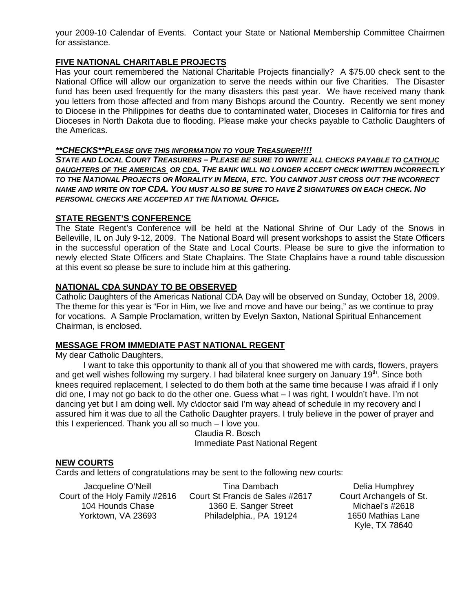your 2009-10 Calendar of Events. Contact your State or National Membership Committee Chairmen for assistance.

### **FIVE NATIONAL CHARITABLE PROJECTS**

Has your court remembered the National Charitable Projects financially? A \$75.00 check sent to the National Office will allow our organization to serve the needs within our five Charities. The Disaster fund has been used frequently for the many disasters this past year. We have received many thank you letters from those affected and from many Bishops around the Country. Recently we sent money to Diocese in the Philippines for deaths due to contaminated water, Dioceses in California for fires and Dioceses in North Dakota due to flooding. Please make your checks payable to Catholic Daughters of the Americas.

#### *\*\*CHECKS\*\*PLEASE GIVE THIS INFORMATION TO YOUR TREASURER!!!!*

*STATE AND LOCAL COURT TREASURERS – PLEASE BE SURE TO WRITE ALL CHECKS PAYABLE TO CATHOLIC DAUGHTERS OF THE AMERICAS OR CDA. THE BANK WILL NO LONGER ACCEPT CHECK WRITTEN INCORRECTLY TO THE NATIONAL PROJECTS OR MORALITY IN MEDIA, ETC. YOU CANNOT JUST CROSS OUT THE INCORRECT NAME AND WRITE ON TOP CDA. YOU MUST ALSO BE SURE TO HAVE 2 SIGNATURES ON EACH CHECK. NO PERSONAL CHECKS ARE ACCEPTED AT THE NATIONAL OFFICE.*

#### **STATE REGENT'S CONFERENCE**

The State Regent's Conference will be held at the National Shrine of Our Lady of the Snows in Belleville, IL on July 9-12, 2009. The National Board will present workshops to assist the State Officers in the successful operation of the State and Local Courts. Please be sure to give the information to newly elected State Officers and State Chaplains. The State Chaplains have a round table discussion at this event so please be sure to include him at this gathering.

#### **NATIONAL CDA SUNDAY TO BE OBSERVED**

Catholic Daughters of the Americas National CDA Day will be observed on Sunday, October 18, 2009. The theme for this year is "For in Him, we live and move and have our being," as we continue to pray for vocations. A Sample Proclamation, written by Evelyn Saxton, National Spiritual Enhancement Chairman, is enclosed.

#### **MESSAGE FROM IMMEDIATE PAST NATIONAL REGENT**

My dear Catholic Daughters,

I want to take this opportunity to thank all of you that showered me with cards, flowers, prayers and get well wishes following my surgery. I had bilateral knee surgery on January 19<sup>th</sup>. Since both knees required replacement, I selected to do them both at the same time because I was afraid if I only did one, I may not go back to do the other one. Guess what – I was right, I wouldn't have. I'm not dancing yet but I am doing well. My c\doctor said I'm way ahead of schedule in my recovery and I assured him it was due to all the Catholic Daughter prayers. I truly believe in the power of prayer and this I experienced. Thank you all so much – I love you.

Claudia R. Bosch Immediate Past National Regent

#### **NEW COURTS**

Cards and letters of congratulations may be sent to the following new courts:

Jacqueline O'Neill 104 Hounds Chase Yorktown, VA 23693

Court of the Holy Family #2616 Court St Francis de Sales #2617 Tina Dambach 1360 E. Sanger Street Philadelphia., PA 19124

Delia Humphrey Court Archangels of St. Michael's #2618 1650 Mathias Lane Kyle, TX 78640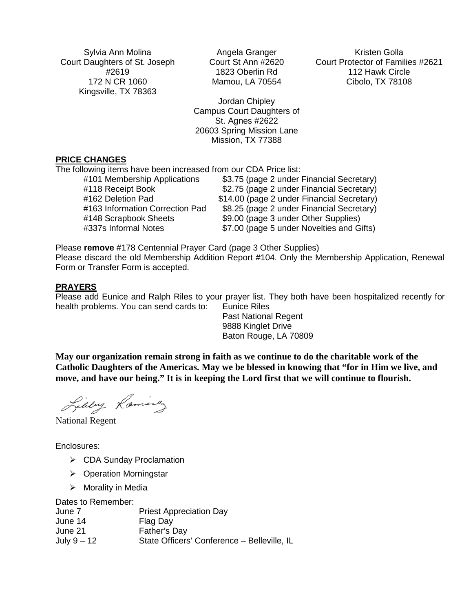Sylvia Ann Molina Court Daughters of St. Joseph #2619 172 N CR 1060 Kingsville, TX 78363

Angela Granger Court St Ann #2620 1823 Oberlin Rd Mamou, LA 70554

Jordan Chipley Campus Court Daughters of St. Agnes #2622 20603 Spring Mission Lane Mission, TX 77388

**PRICE CHANGES**

The following items have been increased from our CDA Price list:

| \$3.75 (page 2 under Financial Secretary)  |
|--------------------------------------------|
| \$2.75 (page 2 under Financial Secretary)  |
| \$14.00 (page 2 under Financial Secretary) |
| \$8.25 (page 2 under Financial Secretary)  |
| \$9.00 (page 3 under Other Supplies)       |
| \$7.00 (page 5 under Novelties and Gifts)  |
|                                            |

Please **remove** #178 Centennial Prayer Card (page 3 Other Supplies) Please discard the old Membership Addition Report #104. Only the Membership Application, Renewal Form or Transfer Form is accepted.

#### **PRAYERS**

Please add Eunice and Ralph Riles to your prayer list. They both have been hospitalized recently for health problems. You can send cards to: Eunice Riles

Past National Regent 9888 Kinglet Drive Baton Rouge, LA 70809

**May our organization remain strong in faith as we continue to do the charitable work of the Catholic Daughters of the Americas. May we be blessed in knowing that "for in Him we live, and move, and have our being." It is in keeping the Lord first that we will continue to flourish.** 

Libby Laminez

National Regent

Enclosures:

- ▶ CDA Sunday Proclamation
- ▶ Operation Morningstar
- $\triangleright$  Morality in Media

Dates to Remember: June 7 Priest Appreciation Day June 14 Flag Day<br>June 21 Father's D Father's Day July 9 – 12 State Officers' Conference – Belleville, IL

Kristen Golla Court Protector of Families #2621 112 Hawk Circle Cibolo, TX 78108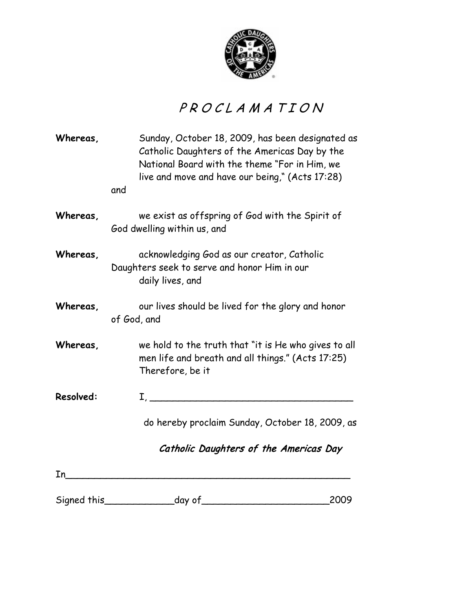

# PROCLAMATION

| Whereas,  | Sunday, October 18, 2009, has been designated as<br>Catholic Daughters of the Americas Day by the<br>National Board with the theme "For in Him, we<br>live and move and have our being," (Acts 17:28)<br>and                              |      |
|-----------|-------------------------------------------------------------------------------------------------------------------------------------------------------------------------------------------------------------------------------------------|------|
| Whereas,  | we exist as offspring of God with the Spirit of<br>God dwelling within us, and                                                                                                                                                            |      |
| Whereas,  | acknowledging God as our creator, Catholic<br>Daughters seek to serve and honor Him in our<br>daily lives, and                                                                                                                            |      |
| Whereas,  | our lives should be lived for the glory and honor<br>of God, and                                                                                                                                                                          |      |
| Whereas,  | we hold to the truth that "it is He who gives to all<br>men life and breath and all things." (Acts 17:25)<br>Therefore, be it                                                                                                             |      |
| Resolved: | $\mathbf{I}_{\mathcal{L}}$ , and the contract of the contract of the contract of the contract of the contract of the contract of the contract of the contract of the contract of the contract of the contract of the contract of the cont |      |
|           | do hereby proclaim Sunday, October 18, 2009, as                                                                                                                                                                                           |      |
|           | Catholic Daughters of the Americas Day                                                                                                                                                                                                    |      |
| In        |                                                                                                                                                                                                                                           |      |
|           | Signed this day of                                                                                                                                                                                                                        | 2009 |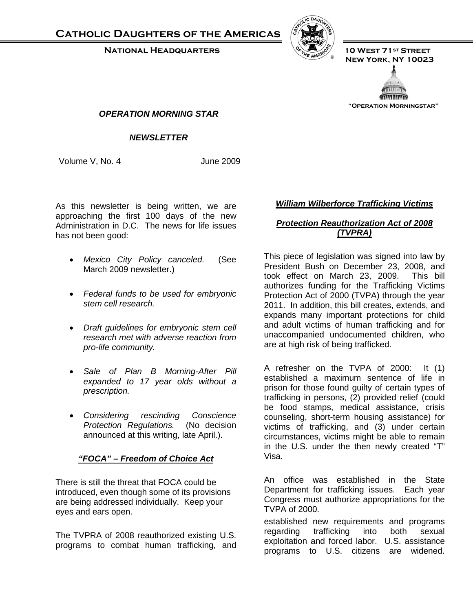**Catholic Daughters of the Americas**

 **National Headquarters 10 West 71st Street**



 **New York, NY 10023**



**"Operation Morningstar"**

#### *OPERATION MORNING STAR*

## *First 100 Days NEWSLETTER*

Volume V, No. 4 June 2009

As this newsletter is being written, we are approaching the first 100 days of the new Administration in D.C. The news for life issues has not been good:

- *Mexico City Policy canceled.* (See March 2009 newsletter.)
- *Federal funds to be used for embryonic stem cell research.*
- *Draft guidelines for embryonic stem cell research met with adverse reaction from pro-life community.*
- *Sale of Plan B Morning-After Pill expanded to 17 year olds without a prescription.*
- *Considering rescinding Conscience Protection Regulations.* (No decision announced at this writing, late April.).

#### *"FOCA" – Freedom of Choice Act*

There is still the threat that FOCA could be introduced, even though some of its provisions are being addressed individually. Keep your eyes and ears open.

The TVPRA of 2008 reauthorized existing U.S. programs to combat human trafficking, and

#### *William Wilberforce Trafficking Victims*

## *Protection Reauthorization Act of 2008 (TVPRA)*

This piece of legislation was signed into law by President Bush on December 23, 2008, and<br>took effect on March 23, 2009. This bill took effect on March 23, 2009. authorizes funding for the Trafficking Victims Protection Act of 2000 (TVPA) through the year 2011. In addition, this bill creates, extends, and expands many important protections for child and adult victims of human trafficking and for unaccompanied undocumented children, who are at high risk of being trafficked.

A refresher on the TVPA of 2000: It (1) established a maximum sentence of life in prison for those found guilty of certain types of trafficking in persons, (2) provided relief (could be food stamps, medical assistance, crisis counseling, short-term housing assistance) for victims of trafficking, and (3) under certain circumstances, victims might be able to remain in the U.S. under the then newly created "T" Visa.

An office was established in the State Department for trafficking issues. Each year Congress must authorize appropriations for the TVPA of 2000.

established new requirements and programs regarding trafficking into both sexual exploitation and forced labor. U.S. assistance programs to U.S. citizens are widened.